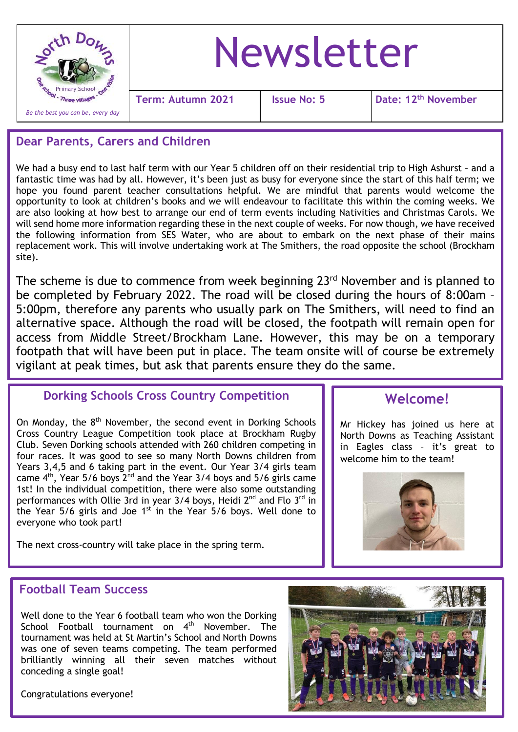

### **Dear Parents, Carers and Children**

We had a busy end to last half term with our Year 5 children off on their residential trip to High Ashurst – and a fantastic time was had by all. However, it's been just as busy for everyone since the start of this half term; we hope you found parent teacher consultations helpful. We are mindful that parents would welcome the opportunity to look at children's books and we will endeavour to facilitate this within the coming weeks. We are also looking at how best to arrange our end of term events including Nativities and Christmas Carols. We will send home more information regarding these in the next couple of weeks. For now though, we have received the following information from SES Water, who are about to embark on the next phase of their mains replacement work. This will involve undertaking work at The Smithers, the road opposite the school (Brockham site).

The scheme is due to commence from week beginning 23<sup>rd</sup> November and is planned to be completed by February 2022. The road will be closed during the hours of 8:00am – 5:00pm, therefore any parents who usually park on The Smithers, will need to find an alternative space. Although the road will be closed, the footpath will remain open for access from Middle Street/Brockham Lane. However, this may be on a temporary footpath that will have been put in place. The team onsite will of course be extremely vigilant at peak times, but ask that parents ensure they do the same.

#### **Dorking Schools Cross Country Competition**

On Monday, the 8<sup>th</sup> November, the second event in Dorking Schools Cross Country League Competition took place at Brockham Rugby Club. Seven Dorking schools attended with 260 children competing in four races. It was good to see so many North Downs children from Years 3,4,5 and 6 taking part in the event. Our Year 3/4 girls team came  $4<sup>th</sup>$ , Year 5/6 boys  $2<sup>nd</sup>$  and the Year 3/4 boys and 5/6 girls came 1st! In the individual competition, there were also some outstanding performances with Ollie 3rd in year 3/4 boys, Heidi 2<sup>nd</sup> and Flo 3<sup>rd</sup> in the Year  $5/6$  girls and Joe  $1<sup>st</sup>$  in the Year  $5/6$  boys. Well done to everyone who took part!

The next cross-country will take place in the spring term.

# **Welcome!**

Mr Hickey has joined us here at North Downs as Teaching Assistant in Eagles class – it's great to welcome him to the team!



## **Football Team Success**

Well done to the Year 6 football team who won the Dorking School Football tournament on  $4<sup>th</sup>$  November. The tournament was held at St Martin's School and North Downs was one of seven teams competing. The team performed brilliantly winning all their seven matches without conceding a single goal!

Congratulations everyone!